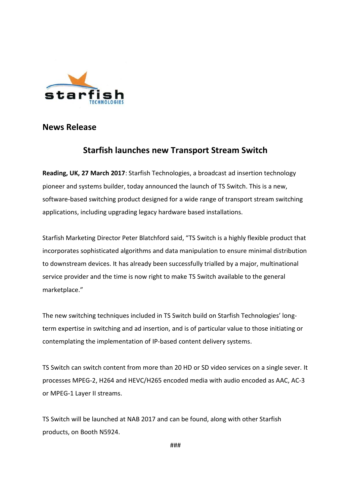

**News Release** 

## **Starfish launches new Transport Stream Switch**

**Reading, UK, 27 March 2017**: Starfish Technologies, a broadcast ad insertion technology pioneer and systems builder, today announced the launch of TS Switch. This is a new, software-based switching product designed for a wide range of transport stream switching applications, including upgrading legacy hardware based installations.

Starfish Marketing Director Peter Blatchford said, "TS Switch is a highly flexible product that incorporates sophisticated algorithms and data manipulation to ensure minimal distribution to downstream devices. It has already been successfully trialled by a major, multinational service provider and the time is now right to make TS Switch available to the general marketplace."

The new switching techniques included in TS Switch build on Starfish Technologies' longterm expertise in switching and ad insertion, and is of particular value to those initiating or contemplating the implementation of IP-based content delivery systems.

TS Switch can switch content from more than 20 HD or SD video services on a single sever. It processes MPEG-2, H264 and HEVC/H265 encoded media with audio encoded as AAC, AC-3 or MPEG-1 Layer II streams.

TS Switch will be launched at NAB 2017 and can be found, along with other Starfish products, on Booth N5924.